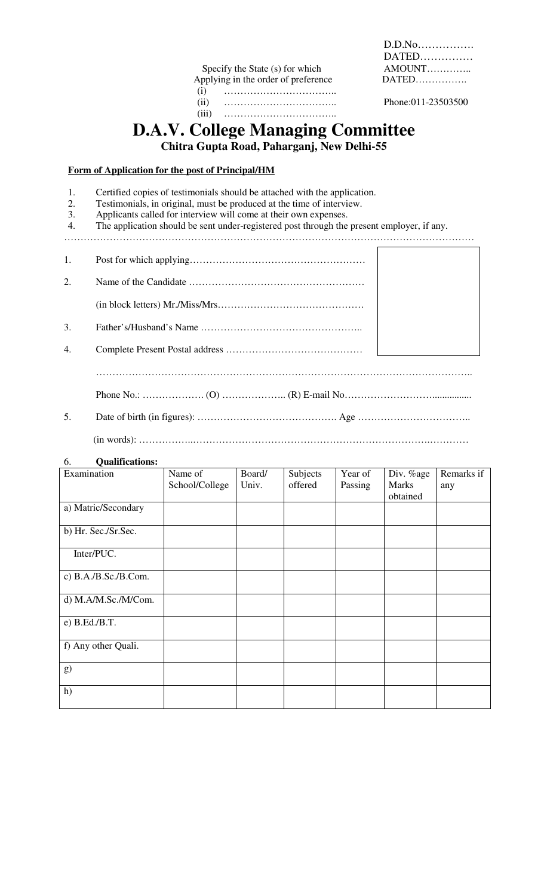Specify the State (s) for which AMOUNT…………..<br>pplying in the order of preference DATED………….. Applying in the order of preference (i) …………………………….. (ii) …………………………….. Phone:011-23503500 (iii) ……………………………..

 D.D.No……………. DATED……………

# **D.A.V. College Managing Committee**

**Chitra Gupta Road, Paharganj, New Delhi-55** 

# **Form of Application for the post of Principal/HM**

1. Certified copies of testimonials should be attached with the application.<br>2. Testimonials, in original, must be produced at the time of interview.

- 2. Testimonials, in original, must be produced at the time of interview.<br>3. Applicants called for interview will come at their own expenses.
- 3. Applicants called for interview will come at their own expenses.<br>4. The application should be sent under-registered post through the
- The application should be sent under-registered post through the present employer, if any.

| 1.             |  |
|----------------|--|
| 2 <sup>1</sup> |  |
|                |  |
| 3.             |  |
| 4.             |  |
|                |  |

……………………………………………………………………………………………………..

Phone No.: ………………. (O) ……………….. (R) E-mail No………………………................

5. Date of birth (in figures): ……………………………………. Age …………………………….. (in words): ……………..……………………………………………………………….…………

### 6. **Qualifications:**

| Examination          | Name of<br>School/College | Board/<br>Univ. | Subjects<br>offered | Year of<br>Passing | Div. %age<br><b>Marks</b> | Remarks if<br>any |
|----------------------|---------------------------|-----------------|---------------------|--------------------|---------------------------|-------------------|
| a) Matric/Secondary  |                           |                 |                     |                    | obtained                  |                   |
|                      |                           |                 |                     |                    |                           |                   |
| b) Hr. Sec./Sr.Sec.  |                           |                 |                     |                    |                           |                   |
| Inter/PUC.           |                           |                 |                     |                    |                           |                   |
| c) B.A./B.Sc./B.Com. |                           |                 |                     |                    |                           |                   |
| d) M.A/M.Sc./M/Com.  |                           |                 |                     |                    |                           |                   |
| e) B.Ed./B.T.        |                           |                 |                     |                    |                           |                   |
| f) Any other Quali.  |                           |                 |                     |                    |                           |                   |
| g)                   |                           |                 |                     |                    |                           |                   |
| h)                   |                           |                 |                     |                    |                           |                   |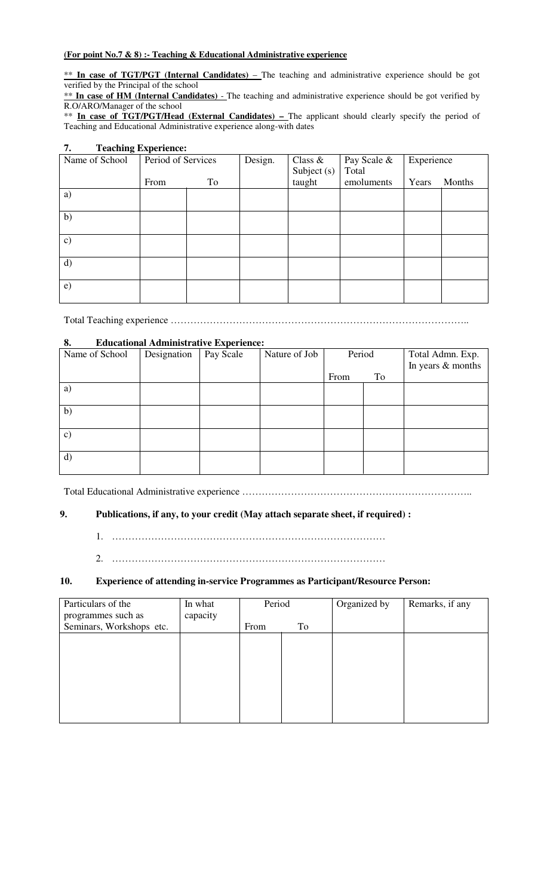# **(For point No.7 & 8) :- Teaching & Educational Administrative experience**

\*\* **In case of TGT/PGT (Internal Candidates)** – The teaching and administrative experience should be got verified by the Principal of the school

\*\* In case of HM (Internal Candidates) - The teaching and administrative experience should be got verified by R.O/ARO/Manager of the school

\*\* **In case of TGT/PGT/Head (External Candidates) –** The applicant should clearly specify the period of Teaching and Educational Administrative experience along-with dates

#### **7. Teaching Experience:**  Name of School Period of Services From To Design. Class & Subject (s) taught Pay Scale & Total emoluments **Experience** Years Months a) b) c) d) e)

Total Teaching experience ………………………………………………………………………………..

### **8. Educational Administrative Experience:**

| Name of School | Designation | Pay Scale | Nature of Job | Period |    | Total Admn. Exp.  |
|----------------|-------------|-----------|---------------|--------|----|-------------------|
|                |             |           |               |        |    | In years & months |
|                |             |           |               | From   | To |                   |
| a)             |             |           |               |        |    |                   |
| b)             |             |           |               |        |    |                   |
| $\mathbf{c})$  |             |           |               |        |    |                   |
| d)             |             |           |               |        |    |                   |

Total Educational Administrative experience ……………………………………………………………..

# **9. Publications, if any, to your credit (May attach separate sheet, if required) :**

1. …………………………………………………………………………

2. …………………………………………………………………………

# **10. Experience of attending in-service Programmes as Participant/Resource Person:**

| Particulars of the<br>programmes such as | In what<br>capacity | Period |    | Organized by | Remarks, if any |
|------------------------------------------|---------------------|--------|----|--------------|-----------------|
| Seminars, Workshops etc.                 |                     | From   | To |              |                 |
|                                          |                     |        |    |              |                 |
|                                          |                     |        |    |              |                 |
|                                          |                     |        |    |              |                 |
|                                          |                     |        |    |              |                 |
|                                          |                     |        |    |              |                 |
|                                          |                     |        |    |              |                 |
|                                          |                     |        |    |              |                 |